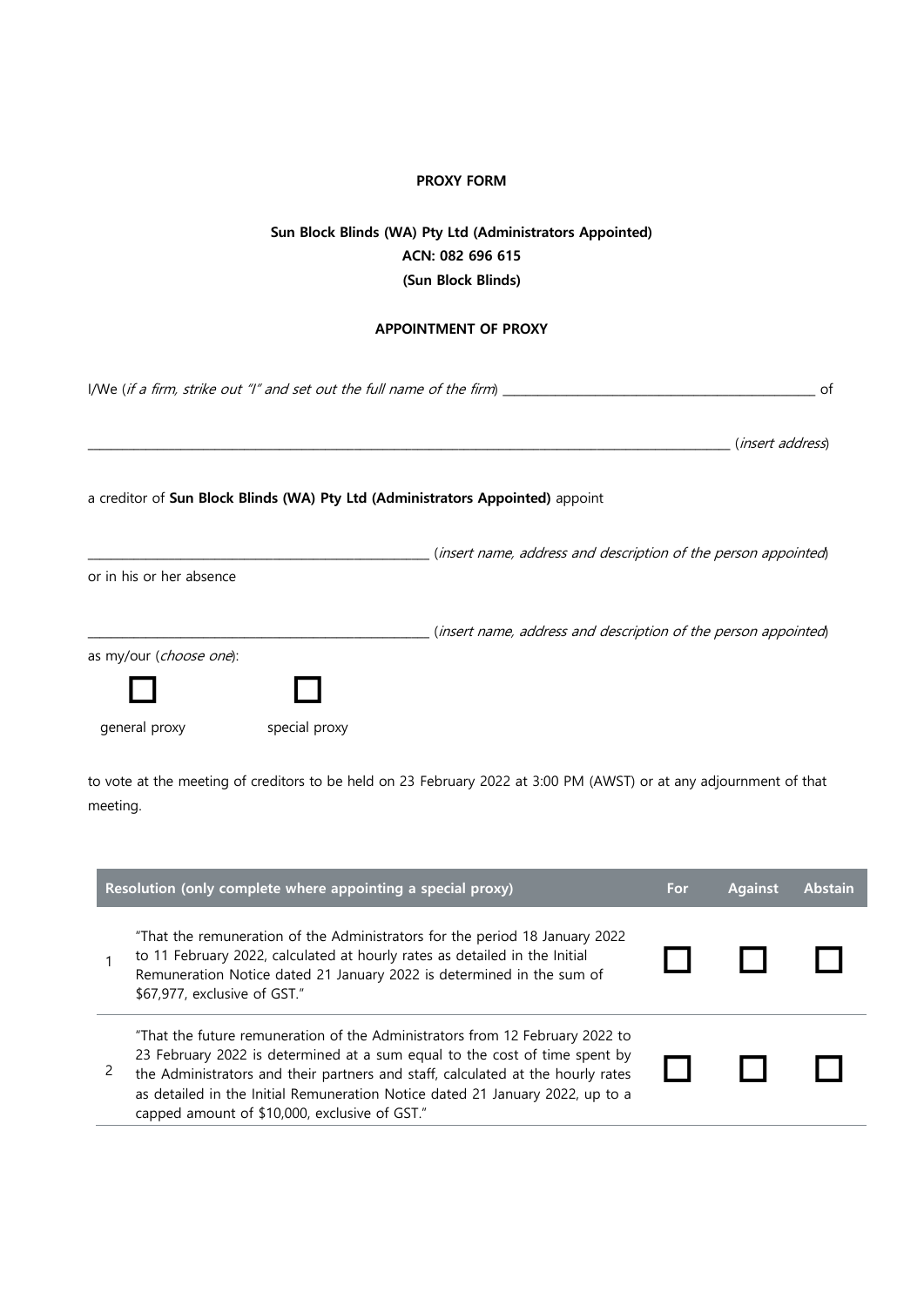## **PROXY FORM**

## **Sun Block Blinds (WA) Pty Ltd (Administrators Appointed) ACN: 082 696 615 (Sun Block Blinds)**

## **APPOINTMENT OF PROXY**

| I/We (if a firm, strike out "I" and set out the full name of the firm) $\frac{1}{2}$<br>of |               |                                                                                |  |
|--------------------------------------------------------------------------------------------|---------------|--------------------------------------------------------------------------------|--|
|                                                                                            |               | ( <i>insert address</i> )                                                      |  |
|                                                                                            |               | a creditor of Sun Block Blinds (WA) Pty Ltd (Administrators Appointed) appoint |  |
| or in his or her absence                                                                   |               | (insert name, address and description of the person appointed)                 |  |
| as my/our (choose one):                                                                    |               | (insert name, address and description of the person appointed)                 |  |
| general proxy                                                                              | special proxy |                                                                                |  |

to vote at the meeting of creditors to be held on 23 February 2022 at 3:00 PM (AWST) or at any adjournment of that meeting.

| Resolution (only complete where appointing a special proxy) |                                                                                                                                                                                                                                                                                                                                                                                 |  | <b>Against</b> | <b>Abstain</b> |
|-------------------------------------------------------------|---------------------------------------------------------------------------------------------------------------------------------------------------------------------------------------------------------------------------------------------------------------------------------------------------------------------------------------------------------------------------------|--|----------------|----------------|
|                                                             | "That the remuneration of the Administrators for the period 18 January 2022<br>to 11 February 2022, calculated at hourly rates as detailed in the Initial<br>Remuneration Notice dated 21 January 2022 is determined in the sum of<br>\$67,977, exclusive of GST."                                                                                                              |  |                |                |
|                                                             | "That the future remuneration of the Administrators from 12 February 2022 to<br>23 February 2022 is determined at a sum equal to the cost of time spent by<br>the Administrators and their partners and staff, calculated at the hourly rates<br>as detailed in the Initial Remuneration Notice dated 21 January 2022, up to a<br>capped amount of \$10,000, exclusive of GST." |  |                |                |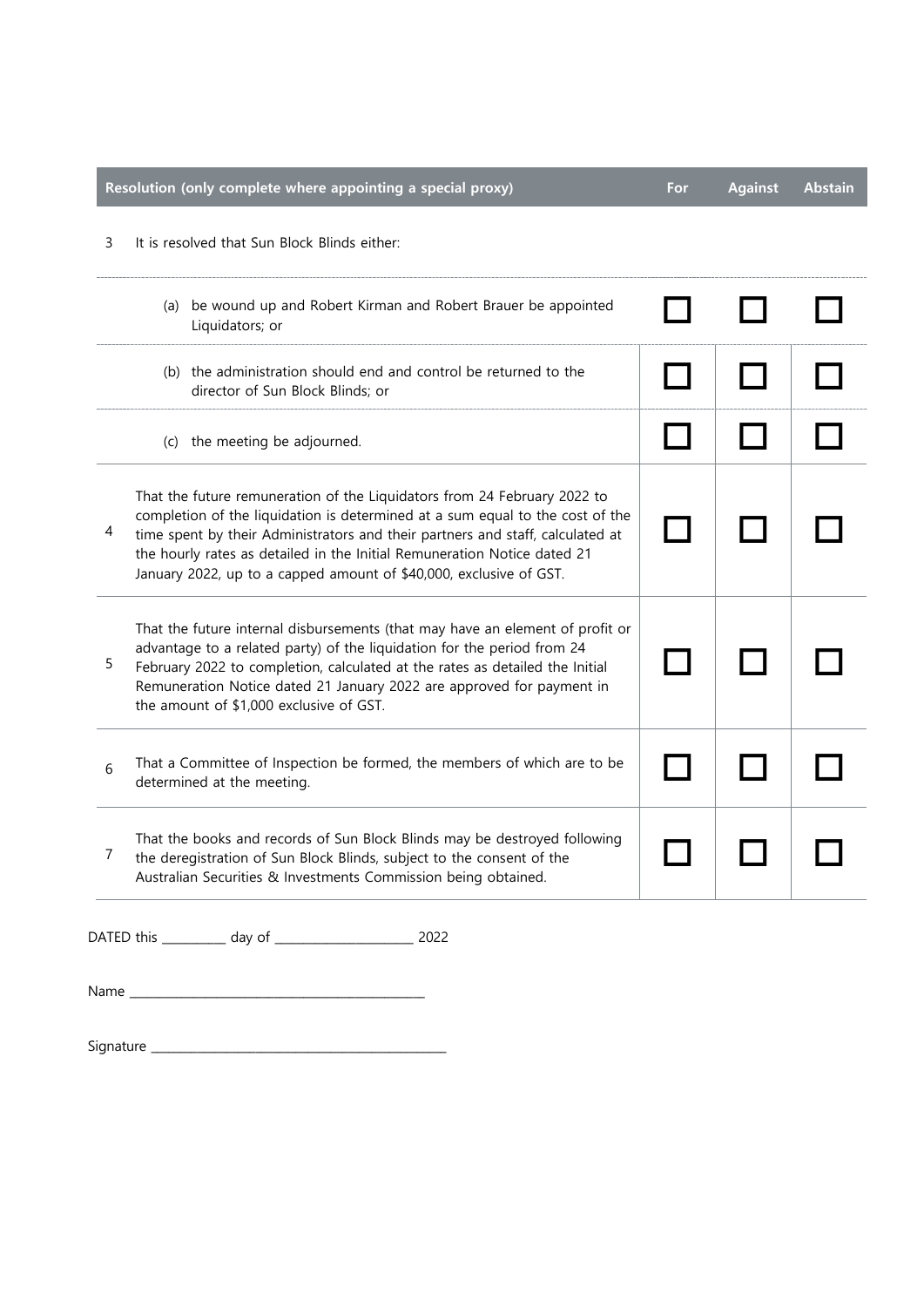|   | Resolution (only complete where appointing a special proxy)                                                                                                                                                                                                                                                                                                                                   | For | <b>Against</b> | <u>Abstain</u> |
|---|-----------------------------------------------------------------------------------------------------------------------------------------------------------------------------------------------------------------------------------------------------------------------------------------------------------------------------------------------------------------------------------------------|-----|----------------|----------------|
| 3 | It is resolved that Sun Block Blinds either:                                                                                                                                                                                                                                                                                                                                                  |     |                |                |
|   | (a) be wound up and Robert Kirman and Robert Brauer be appointed<br>Liquidators; or                                                                                                                                                                                                                                                                                                           |     |                |                |
|   | (b) the administration should end and control be returned to the<br>director of Sun Block Blinds; or                                                                                                                                                                                                                                                                                          |     |                |                |
|   | (c) the meeting be adjourned.                                                                                                                                                                                                                                                                                                                                                                 |     |                |                |
| 4 | That the future remuneration of the Liquidators from 24 February 2022 to<br>completion of the liquidation is determined at a sum equal to the cost of the<br>time spent by their Administrators and their partners and staff, calculated at<br>the hourly rates as detailed in the Initial Remuneration Notice dated 21<br>January 2022, up to a capped amount of \$40,000, exclusive of GST. |     |                |                |
| 5 | That the future internal disbursements (that may have an element of profit or<br>advantage to a related party) of the liquidation for the period from 24<br>February 2022 to completion, calculated at the rates as detailed the Initial<br>Remuneration Notice dated 21 January 2022 are approved for payment in<br>the amount of \$1,000 exclusive of GST.                                  |     |                |                |
| 6 | That a Committee of Inspection be formed, the members of which are to be<br>determined at the meeting.                                                                                                                                                                                                                                                                                        |     |                |                |
| 7 | That the books and records of Sun Block Blinds may be destroyed following<br>the deregistration of Sun Block Blinds, subject to the consent of the<br>Australian Securities & Investments Commission being obtained.                                                                                                                                                                          |     |                |                |
|   | DATED this __________ day of __<br>2022                                                                                                                                                                                                                                                                                                                                                       |     |                |                |

Name \_\_\_\_\_\_\_\_\_\_\_\_\_\_\_\_\_\_\_\_\_\_\_\_\_\_\_\_\_\_\_\_\_\_\_\_\_\_\_\_\_\_\_\_\_\_\_\_\_\_\_

Signature \_\_\_\_\_\_\_\_\_\_\_\_\_\_\_\_\_\_\_\_\_\_\_\_\_\_\_\_\_\_\_\_\_\_\_\_\_\_\_\_\_\_\_\_\_\_\_\_\_\_\_